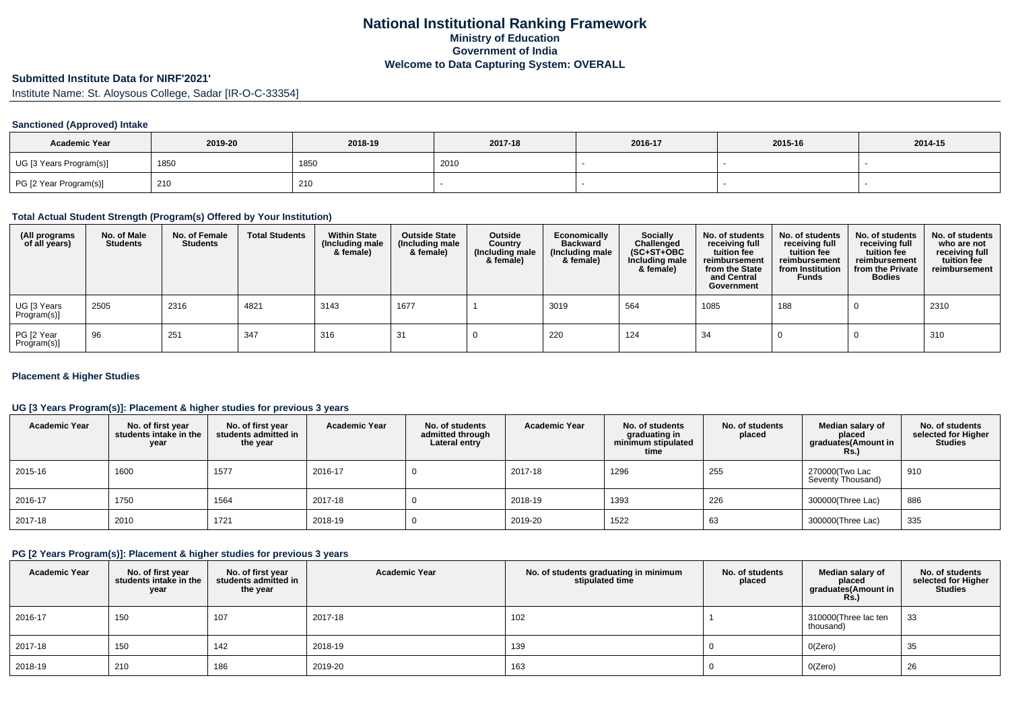# **Submitted Institute Data for NIRF'2021'**

Institute Name: St. Aloysous College, Sadar [IR-O-C-33354]

## **Sanctioned (Approved) Intake**

| <b>Academic Year</b>    | 2019-20 | 2018-19 | 2017-18 | 2016-17 | 2015-16 | 2014-15 |
|-------------------------|---------|---------|---------|---------|---------|---------|
| UG [3 Years Program(s)] | 185∪    | 1850    | 2010    |         |         |         |
| PG [2 Year Program(s)]  | 210     | 210     |         |         |         |         |

#### **Total Actual Student Strength (Program(s) Offered by Your Institution)**

| (All programs<br>of all years) | No. of Male<br><b>Students</b> | No. of Female<br><b>Students</b> | <b>Total Students</b> | <b>Within State</b><br>(Including male<br>& female) | <b>Outside State</b><br>(Including male<br>& female) | <b>Outside</b><br>Country<br>(Including male<br>& female) | Economically<br><b>Backward</b><br>(Including male<br>& female) | Socially<br>Challenged<br>$(SC+ST+OBC)$<br>Including male<br>& female) | No. of students<br>receiving full<br>tuition fee<br>reimbursement<br>from the State<br>and Central<br>Government | No. of students<br>receiving full<br>tuition fee<br>reimbursement<br>from Institution<br><b>Funds</b> | No. of students<br>receiving full<br>tuition fee<br>reimbursement<br>from the Private<br><b>Bodies</b> | No. of students<br>who are not<br>receiving full<br>tuition fee<br>reimbursement |
|--------------------------------|--------------------------------|----------------------------------|-----------------------|-----------------------------------------------------|------------------------------------------------------|-----------------------------------------------------------|-----------------------------------------------------------------|------------------------------------------------------------------------|------------------------------------------------------------------------------------------------------------------|-------------------------------------------------------------------------------------------------------|--------------------------------------------------------------------------------------------------------|----------------------------------------------------------------------------------|
| UG [3 Years<br>Program(s)]     | 2505                           | 2316                             | 4821                  | 3143                                                | 1677                                                 |                                                           | 3019                                                            | 564                                                                    | 1085                                                                                                             | 188                                                                                                   |                                                                                                        | 2310                                                                             |
| PG [2 Year<br>Program(s)]      | 96                             | 251                              | 347                   | 316                                                 | 31                                                   |                                                           | 220                                                             | 124                                                                    | 34                                                                                                               |                                                                                                       |                                                                                                        | 310                                                                              |

## **Placement & Higher Studies**

## **UG [3 Years Program(s)]: Placement & higher studies for previous 3 years**

| <b>Academic Year</b> | No. of first year<br>students intake in the<br>year | No. of first year<br>students admitted in<br>the year | <b>Academic Year</b> | No. of students<br>admitted through<br>Lateral entry | <b>Academic Year</b> | No. of students<br>graduating in<br>minimum stipulated<br>time | No. of students<br>placed | Median salary of<br>placed<br>graduates(Amount in<br><b>Rs.)</b> | No. of students<br>selected for Higher<br>Studies |
|----------------------|-----------------------------------------------------|-------------------------------------------------------|----------------------|------------------------------------------------------|----------------------|----------------------------------------------------------------|---------------------------|------------------------------------------------------------------|---------------------------------------------------|
| 2015-16              | 1600                                                | 1577                                                  | 2016-17              |                                                      | 2017-18              | 1296                                                           | 255                       | 270000(Two Lac<br>Seventy Thousand)                              | 910                                               |
| 2016-17              | 1750                                                | 1564                                                  | 2017-18              |                                                      | 2018-19              | 1393                                                           | 226                       | 300000(Three Lac)                                                | 886                                               |
| 2017-18              | 2010                                                | 1721                                                  | 2018-19              |                                                      | 2019-20              | 1522                                                           | 63                        | 300000(Three Lac)                                                | 335                                               |

#### **PG [2 Years Program(s)]: Placement & higher studies for previous 3 years**

| <b>Academic Year</b> | No. of first year<br>students intake in the<br>year | No. of first year<br>students admitted in<br>the year | <b>Academic Year</b> | No. of students graduating in minimum<br>stipulated time | No. of students<br>placed | Median salary of<br>placed<br>graduates(Amount in<br>$RS$ .) | No. of students<br>selected for Higher<br><b>Studies</b> |
|----------------------|-----------------------------------------------------|-------------------------------------------------------|----------------------|----------------------------------------------------------|---------------------------|--------------------------------------------------------------|----------------------------------------------------------|
| 2016-17              | 150                                                 | 107                                                   | 2017-18              | 102                                                      |                           | 310000(Three lac ten<br>thousand)                            | 33                                                       |
| 2017-18              | 150                                                 | 142                                                   | 2018-19              | 139                                                      |                           | O(Zero)                                                      | 35                                                       |
| 2018-19              | 210                                                 | 186                                                   | 2019-20              | 163                                                      |                           | O(Zero)                                                      | 26                                                       |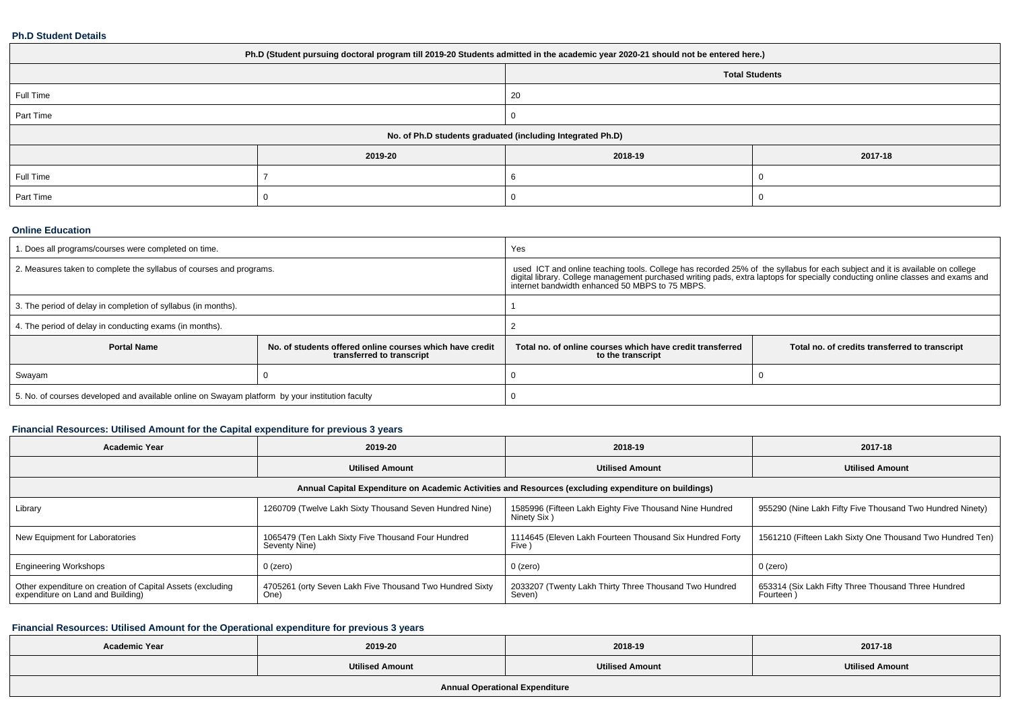#### **Ph.D Student Details**

| Ph.D (Student pursuing doctoral program till 2019-20 Students admitted in the academic year 2020-21 should not be entered here.) |         |         |         |  |  |
|----------------------------------------------------------------------------------------------------------------------------------|---------|---------|---------|--|--|
| <b>Total Students</b>                                                                                                            |         |         |         |  |  |
| Full Time                                                                                                                        |         | 20      |         |  |  |
| Part Time                                                                                                                        |         |         |         |  |  |
| No. of Ph.D students graduated (including Integrated Ph.D)                                                                       |         |         |         |  |  |
|                                                                                                                                  | 2019-20 | 2018-19 | 2017-18 |  |  |
| Full Time                                                                                                                        |         |         |         |  |  |
| Part Time                                                                                                                        |         |         |         |  |  |

#### **Online Education**

| 1. Does all programs/courses were completed on time.                                            |                                                                                       | Yes                                                                                                                                                                                                                                                                                  |                                                |  |
|-------------------------------------------------------------------------------------------------|---------------------------------------------------------------------------------------|--------------------------------------------------------------------------------------------------------------------------------------------------------------------------------------------------------------------------------------------------------------------------------------|------------------------------------------------|--|
| 2. Measures taken to complete the syllabus of courses and programs.                             |                                                                                       | used ICT and online teaching tools. College has recorded 25% of the syllabus for each subject and it is available on college<br>digital library. College management purchased writing pads, extra laptops for specially conductin<br>internet bandwidth enhanced 50 MBPS to 75 MBPS. |                                                |  |
| 3. The period of delay in completion of syllabus (in months).                                   |                                                                                       |                                                                                                                                                                                                                                                                                      |                                                |  |
| 4. The period of delay in conducting exams (in months).                                         |                                                                                       |                                                                                                                                                                                                                                                                                      |                                                |  |
| <b>Portal Name</b>                                                                              | No. of students offered online courses which have credit<br>transferred to transcript | Total no, of online courses which have credit transferred<br>to the transcript                                                                                                                                                                                                       | Total no. of credits transferred to transcript |  |
| Swayam                                                                                          |                                                                                       |                                                                                                                                                                                                                                                                                      |                                                |  |
| 5. No. of courses developed and available online on Swayam platform by your institution faculty |                                                                                       |                                                                                                                                                                                                                                                                                      |                                                |  |

# **Financial Resources: Utilised Amount for the Capital expenditure for previous 3 years**

| <b>Academic Year</b>                                                                                 | 2019-20                                                             | 2018-19                                                                | 2017-18                                                          |  |  |  |  |
|------------------------------------------------------------------------------------------------------|---------------------------------------------------------------------|------------------------------------------------------------------------|------------------------------------------------------------------|--|--|--|--|
|                                                                                                      | <b>Utilised Amount</b>                                              | <b>Utilised Amount</b>                                                 | <b>Utilised Amount</b>                                           |  |  |  |  |
| Annual Capital Expenditure on Academic Activities and Resources (excluding expenditure on buildings) |                                                                     |                                                                        |                                                                  |  |  |  |  |
| Library                                                                                              | 1260709 (Twelve Lakh Sixty Thousand Seven Hundred Nine)             | 1585996 (Fifteen Lakh Eighty Five Thousand Nine Hundred<br>Ninety Six) | 955290 (Nine Lakh Fifty Five Thousand Two Hundred Ninety)        |  |  |  |  |
| New Equipment for Laboratories                                                                       | 1065479 (Ten Lakh Sixty Five Thousand Four Hundred<br>Seventy Nine) | 1114645 (Eleven Lakh Fourteen Thousand Six Hundred Forty<br>Five )     | 1561210 (Fifteen Lakh Sixty One Thousand Two Hundred Ten)        |  |  |  |  |
| <b>Engineering Workshops</b>                                                                         | $0$ (zero)                                                          | 0 (zero)                                                               | 0 (zero)                                                         |  |  |  |  |
| Other expenditure on creation of Capital Assets (excluding<br>expenditure on Land and Building)      | 4705261 (orty Seven Lakh Five Thousand Two Hundred Sixty<br>One)    | 2033207 (Twenty Lakh Thirty Three Thousand Two Hundred<br>Seven)       | 653314 (Six Lakh Fifty Three Thousand Three Hundred<br>Fourteen) |  |  |  |  |

## **Financial Resources: Utilised Amount for the Operational expenditure for previous 3 years**

| <b>Academic Year</b>                  | 2019-20                | 2018-19                | 2017-18                |  |  |  |
|---------------------------------------|------------------------|------------------------|------------------------|--|--|--|
|                                       | <b>Utilised Amount</b> | <b>Utilised Amount</b> | <b>Utilised Amount</b> |  |  |  |
| <b>Annual Operational Expenditure</b> |                        |                        |                        |  |  |  |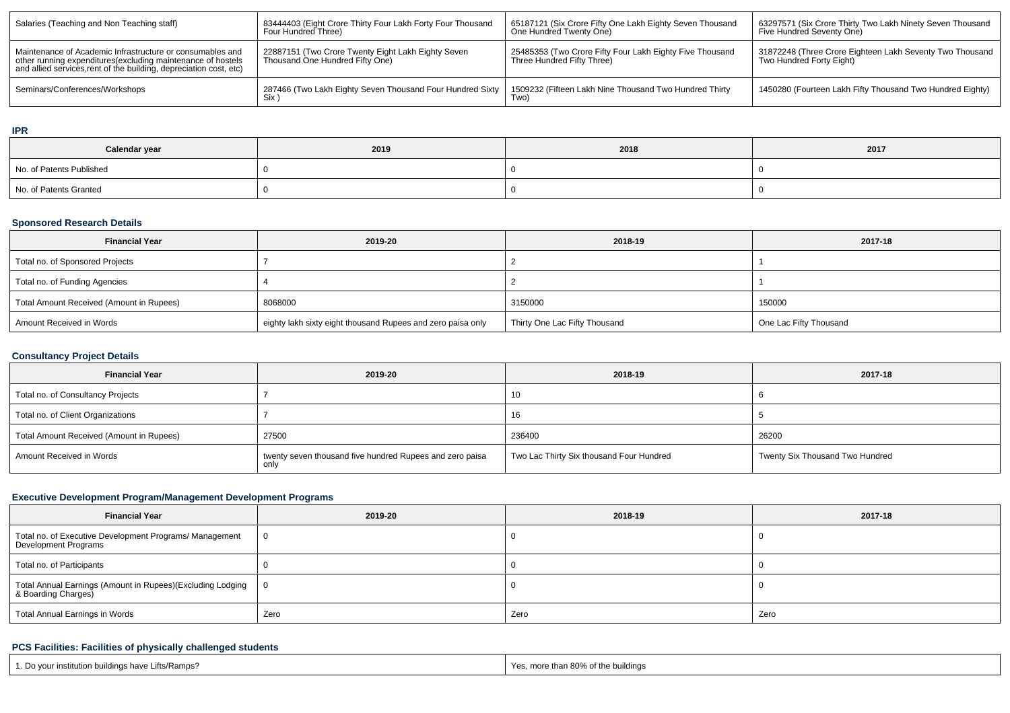| Salaries (Teaching and Non Teaching staff)                                                                                                                                                      | 83444403 (Eight Crore Thirty Four Lakh Forty Four Thousand<br>Four Hundred Three)     | 65187121 (Six Crore Fifty One Lakh Eighty Seven Thousand<br>One Hundred Twenty One)    | 63297571 (Six Crore Thirty Two Lakh Ninety Seven Thousand<br>Five Hundred Seventy One) |
|-------------------------------------------------------------------------------------------------------------------------------------------------------------------------------------------------|---------------------------------------------------------------------------------------|----------------------------------------------------------------------------------------|----------------------------------------------------------------------------------------|
| Maintenance of Academic Infrastructure or consumables and<br>other running expenditures (excluding maintenance of hostels<br>and allied services, rent of the building, depreciation cost, etc) | 22887151 (Two Crore Twenty Eight Lakh Eighty Seven<br>Thousand One Hundred Fifty One) | 25485353 (Two Crore Fifty Four Lakh Eighty Five Thousand<br>Three Hundred Fifty Three) | 31872248 (Three Crore Eighteen Lakh Seventy Two Thousand<br>Two Hundred Forty Eight)   |
| Seminars/Conferences/Workshops                                                                                                                                                                  | 287466 (Two Lakh Eighty Seven Thousand Four Hundred Sixty                             | 1509232 (Fifteen Lakh Nine Thousand Two Hundred Thirty<br>Two)                         | 1450280 (Fourteen Lakh Fifty Thousand Two Hundred Eighty)                              |

## **IPR**

| Calendar year            | 2019 | 2018 | 2017 |
|--------------------------|------|------|------|
| No. of Patents Published |      |      |      |
| No. of Patents Granted   |      |      |      |

## **Sponsored Research Details**

| <b>Financial Year</b>                    | 2019-20                                                     | 2018-19                       | 2017-18                |
|------------------------------------------|-------------------------------------------------------------|-------------------------------|------------------------|
| Total no. of Sponsored Projects          |                                                             |                               |                        |
| Total no. of Funding Agencies            |                                                             |                               |                        |
| Total Amount Received (Amount in Rupees) | 8068000                                                     | 3150000                       | 150000                 |
| Amount Received in Words                 | eighty lakh sixty eight thousand Rupees and zero paisa only | Thirty One Lac Fifty Thousand | One Lac Fifty Thousand |

# **Consultancy Project Details**

| <b>Financial Year</b>                    | 2019-20                                                  | 2018-19                                  | 2017-18                         |
|------------------------------------------|----------------------------------------------------------|------------------------------------------|---------------------------------|
| Total no. of Consultancy Projects        |                                                          | 10                                       |                                 |
| Total no. of Client Organizations        |                                                          | 16                                       |                                 |
| Total Amount Received (Amount in Rupees) | 27500                                                    | 236400                                   | 26200                           |
| Amount Received in Words                 | twenty seven thousand five hundred Rupees and zero paisa | Two Lac Thirty Six thousand Four Hundred | Twenty Six Thousand Two Hundred |

# **Executive Development Program/Management Development Programs**

| <b>Financial Year</b>                                                                         | 2019-20 | 2018-19 | 2017-18 |  |
|-----------------------------------------------------------------------------------------------|---------|---------|---------|--|
| Total no. of Executive Development Programs/ Management<br>Development Programs               | - 0     |         |         |  |
| Total no. of Participants                                                                     |         |         |         |  |
| <sup> </sup> Total Annual Earnings (Amount in Rupees)(Excluding Lodging<br>&Boarding Charges) | - 0     |         |         |  |
| Total Annual Earnings in Words                                                                | Zero    | Zero    | Zero    |  |

# **PCS Facilities: Facilities of physically challenged students**

| 1. Do your institution buildings have Lifts/Ramps? | Yes, more than 80% of the buildings |
|----------------------------------------------------|-------------------------------------|
|----------------------------------------------------|-------------------------------------|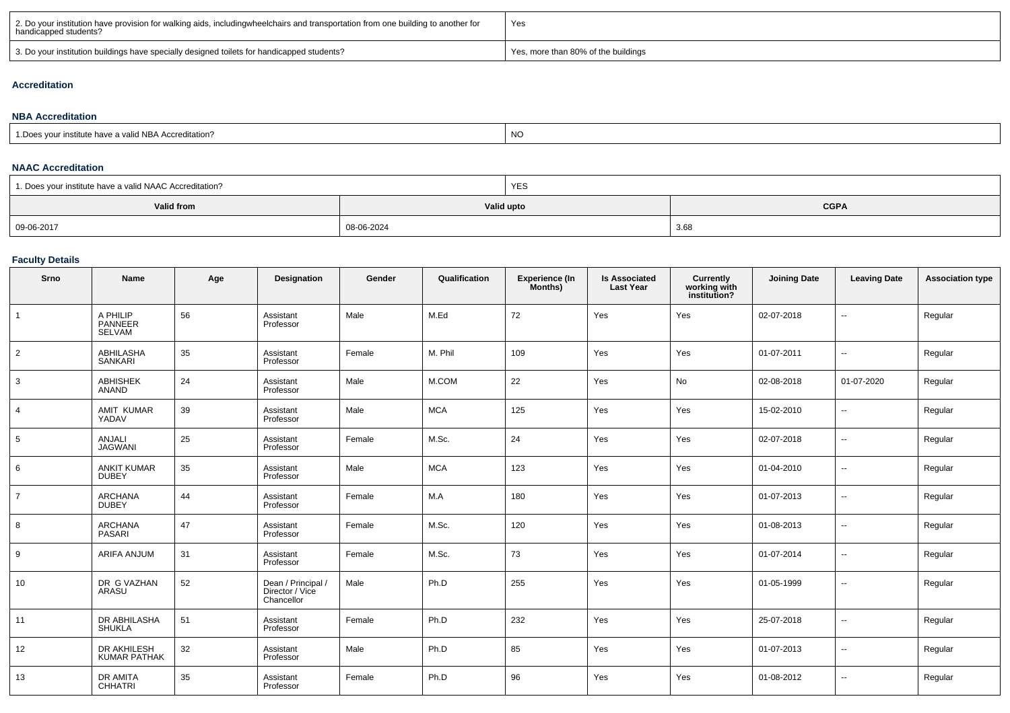| 2. Do your institution have provision for walking aids, includingwheelchairs and transportation from one building to another for<br>handicapped students? | Yes                                 |
|-----------------------------------------------------------------------------------------------------------------------------------------------------------|-------------------------------------|
| 3. Do your institution buildings have specially designed toilets for handicapped students?                                                                | Yes, more than 80% of the buildings |

## **Accreditation**

#### **NBA Accreditation**1.Does your institute have a valid NBA Accreditation?expression of the contract of the contract of the contract of the contract of the contract of the contract of the contract of the contract of the contract of the contract of the contract of the contract of the contract of

#### **NAAC Accreditation**

| 1. Does your institute have a valid NAAC Accreditation? |            | YES                       |      |  |  |  |
|---------------------------------------------------------|------------|---------------------------|------|--|--|--|
| <b>Valid from</b>                                       |            | <b>CGPA</b><br>Valid upto |      |  |  |  |
| 09-06-2017                                              | 08-06-2024 |                           | 3.68 |  |  |  |

## **Faculty Details**

| Srno           | <b>Name</b>                        | Age | Designation                                         | Gender | Qualification | Experience (In<br>Months) | <b>Is Associated</b><br><b>Last Year</b> | Currently<br>working with<br>institution? | <b>Joining Date</b> | <b>Leaving Date</b>      | <b>Association type</b> |
|----------------|------------------------------------|-----|-----------------------------------------------------|--------|---------------|---------------------------|------------------------------------------|-------------------------------------------|---------------------|--------------------------|-------------------------|
| $\mathbf{1}$   | A PHILIP<br>PANNEER<br>SELVAM      | 56  | Assistant<br>Professor                              | Male   | M.Ed          | 72                        | Yes                                      | Yes                                       | 02-07-2018          | $\overline{\phantom{a}}$ | Regular                 |
| $\overline{2}$ | <b>ABHILASHA</b><br><b>SANKARI</b> | 35  | Assistant<br>Professor                              | Female | M. Phil       | 109                       | Yes                                      | Yes                                       | 01-07-2011          | $\sim$                   | Regular                 |
| 3              | <b>ABHISHEK</b><br><b>ANAND</b>    | 24  | Assistant<br>Professor                              | Male   | M.COM         | 22                        | Yes                                      | No                                        | 02-08-2018          | 01-07-2020               | Regular                 |
| $\overline{4}$ | AMIT KUMAR<br>YADAV                | 39  | Assistant<br>Professor                              | Male   | <b>MCA</b>    | 125                       | Yes                                      | Yes                                       | 15-02-2010          | $\overline{a}$           | Regular                 |
| 5              | <b>ANJALI</b><br><b>JAGWANI</b>    | 25  | Assistant<br>Professor                              | Female | M.Sc.         | 24                        | Yes                                      | Yes                                       | 02-07-2018          | $\overline{a}$           | Regular                 |
| 6              | <b>ANKIT KUMAR</b><br><b>DUBEY</b> | 35  | Assistant<br>Professor                              | Male   | <b>MCA</b>    | 123                       | Yes                                      | Yes                                       | 01-04-2010          | $\overline{a}$           | Regular                 |
| $\overline{7}$ | <b>ARCHANA</b><br><b>DUBEY</b>     | 44  | Assistant<br>Professor                              | Female | M.A           | 180                       | Yes                                      | Yes                                       | 01-07-2013          | $\overline{a}$           | Regular                 |
| 8              | <b>ARCHANA</b><br>PASARI           | 47  | Assistant<br>Professor                              | Female | M.Sc.         | 120                       | Yes                                      | Yes                                       | 01-08-2013          | $\overline{a}$           | Regular                 |
| 9              | ARIFA ANJUM                        | 31  | Assistant<br>Professor                              | Female | M.Sc.         | 73                        | Yes                                      | Yes                                       | 01-07-2014          | $\overline{\phantom{a}}$ | Regular                 |
| 10             | DR G VAZHAN<br>ARASU               | 52  | Dean / Principal /<br>Director / Vice<br>Chancellor | Male   | Ph.D          | 255                       | Yes                                      | Yes                                       | 01-05-1999          | $\overline{\phantom{a}}$ | Regular                 |
| 11             | DR ABHILASHA<br><b>SHUKLA</b>      | 51  | Assistant<br>Professor                              | Female | Ph.D          | 232                       | Yes                                      | Yes                                       | 25-07-2018          | --                       | Regular                 |
| 12             | DR AKHILESH<br><b>KUMAR PATHAK</b> | 32  | Assistant<br>Professor                              | Male   | Ph.D          | 85                        | Yes                                      | Yes                                       | 01-07-2013          | --                       | Regular                 |
| 13             | DR AMITA<br>CHHATRI                | 35  | Assistant<br>Professor                              | Female | Ph.D          | 96                        | Yes                                      | Yes                                       | 01-08-2012          | $\overline{\phantom{a}}$ | Regular                 |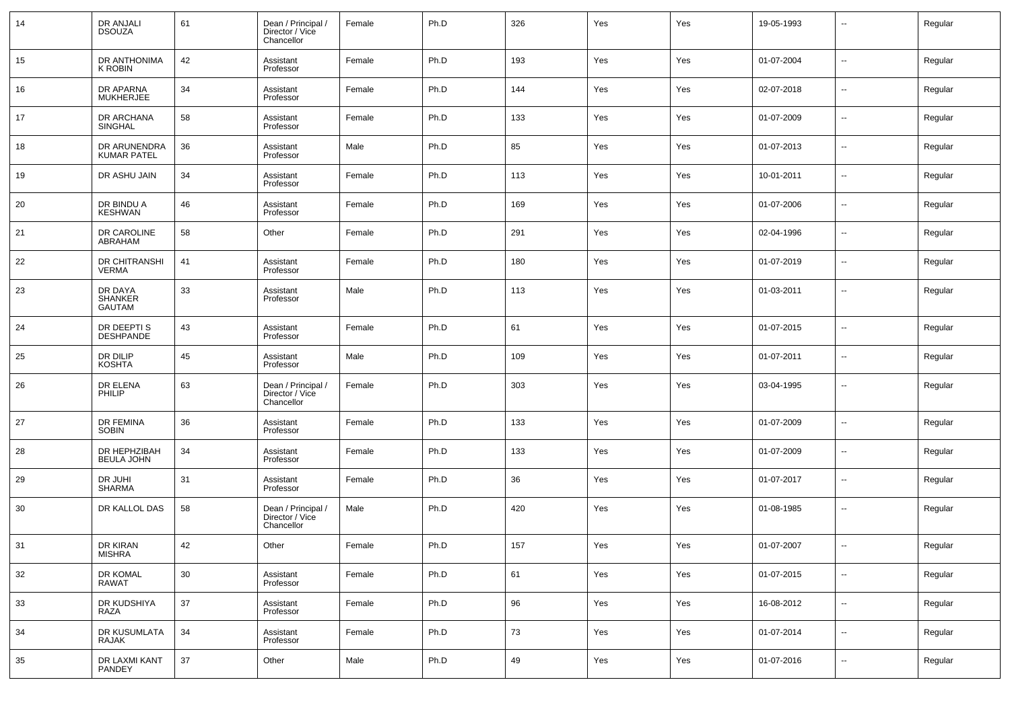| 14 | DR ANJALI<br><b>DSOUZA</b>          | 61 | Dean / Principal /<br>Director / Vice<br>Chancellor | Female | Ph.D | 326 | Yes | Yes | 19-05-1993 | $\overline{\phantom{a}}$ | Regular |
|----|-------------------------------------|----|-----------------------------------------------------|--------|------|-----|-----|-----|------------|--------------------------|---------|
| 15 | DR ANTHONIMA<br>K ROBIN             | 42 | Assistant<br>Professor                              | Female | Ph.D | 193 | Yes | Yes | 01-07-2004 | $\overline{\phantom{a}}$ | Regular |
| 16 | DR APARNA<br>MUKHERJEE              | 34 | Assistant<br>Professor                              | Female | Ph.D | 144 | Yes | Yes | 02-07-2018 | $\overline{\phantom{a}}$ | Regular |
| 17 | DR ARCHANA<br><b>SINGHAL</b>        | 58 | Assistant<br>Professor                              | Female | Ph.D | 133 | Yes | Yes | 01-07-2009 | $\overline{\phantom{a}}$ | Regular |
| 18 | DR ARUNENDRA<br><b>KUMAR PATEL</b>  | 36 | Assistant<br>Professor                              | Male   | Ph.D | 85  | Yes | Yes | 01-07-2013 | $\overline{\phantom{a}}$ | Regular |
| 19 | DR ASHU JAIN                        | 34 | Assistant<br>Professor                              | Female | Ph.D | 113 | Yes | Yes | 10-01-2011 | $\overline{\phantom{a}}$ | Regular |
| 20 | DR BINDU A<br><b>KESHWAN</b>        | 46 | Assistant<br>Professor                              | Female | Ph.D | 169 | Yes | Yes | 01-07-2006 | $\overline{\phantom{a}}$ | Regular |
| 21 | DR CAROLINE<br>ABRAHAM              | 58 | Other                                               | Female | Ph.D | 291 | Yes | Yes | 02-04-1996 | $\overline{\phantom{a}}$ | Regular |
| 22 | DR CHITRANSHI<br><b>VERMA</b>       | 41 | Assistant<br>Professor                              | Female | Ph.D | 180 | Yes | Yes | 01-07-2019 | $\overline{\phantom{a}}$ | Regular |
| 23 | DR DAYA<br>SHANKER<br><b>GAUTAM</b> | 33 | Assistant<br>Professor                              | Male   | Ph.D | 113 | Yes | Yes | 01-03-2011 | $\overline{\phantom{a}}$ | Regular |
| 24 | DR DEEPTI S<br>DESHPANDE            | 43 | Assistant<br>Professor                              | Female | Ph.D | 61  | Yes | Yes | 01-07-2015 | $\ddotsc$                | Regular |
| 25 | DR DILIP<br><b>KOSHTA</b>           | 45 | Assistant<br>Professor                              | Male   | Ph.D | 109 | Yes | Yes | 01-07-2011 | $\sim$                   | Regular |
| 26 | DR ELENA<br>PHILIP                  | 63 | Dean / Principal /<br>Director / Vice<br>Chancellor | Female | Ph.D | 303 | Yes | Yes | 03-04-1995 | $\ddotsc$                | Regular |
| 27 | DR FEMINA<br><b>SOBIN</b>           | 36 | Assistant<br>Professor                              | Female | Ph.D | 133 | Yes | Yes | 01-07-2009 | $\overline{\phantom{a}}$ | Regular |
| 28 | DR HEPHZIBAH<br><b>BEULA JOHN</b>   | 34 | Assistant<br>Professor                              | Female | Ph.D | 133 | Yes | Yes | 01-07-2009 | $\overline{\phantom{a}}$ | Regular |
| 29 | DR JUHI<br><b>SHARMA</b>            | 31 | Assistant<br>Professor                              | Female | Ph.D | 36  | Yes | Yes | 01-07-2017 | $\overline{\phantom{a}}$ | Regular |
| 30 | DR KALLOL DAS                       | 58 | Dean / Principal /<br>Director / Vice<br>Chancellor | Male   | Ph.D | 420 | Yes | Yes | 01-08-1985 | $\overline{\phantom{a}}$ | Regular |
| 31 | DR KIRAN<br>MISHRA                  | 42 | Other                                               | Female | Ph.D | 157 | Yes | Yes | 01-07-2007 | $\overline{\phantom{a}}$ | Regular |
| 32 | DR KOMAL<br>RAWAT                   | 30 | Assistant<br>Professor                              | Female | Ph.D | 61  | Yes | Yes | 01-07-2015 | $\sim$                   | Regular |
| 33 | DR KUDSHIYA<br>RAZA                 | 37 | Assistant<br>Professor                              | Female | Ph.D | 96  | Yes | Yes | 16-08-2012 | $\sim$                   | Regular |
| 34 | DR KUSUMLATA<br>RAJAK               | 34 | Assistant<br>Professor                              | Female | Ph.D | 73  | Yes | Yes | 01-07-2014 | $\sim$                   | Regular |
| 35 | DR LAXMI KANT<br>PANDEY             | 37 | Other                                               | Male   | Ph.D | 49  | Yes | Yes | 01-07-2016 | $\sim$                   | Regular |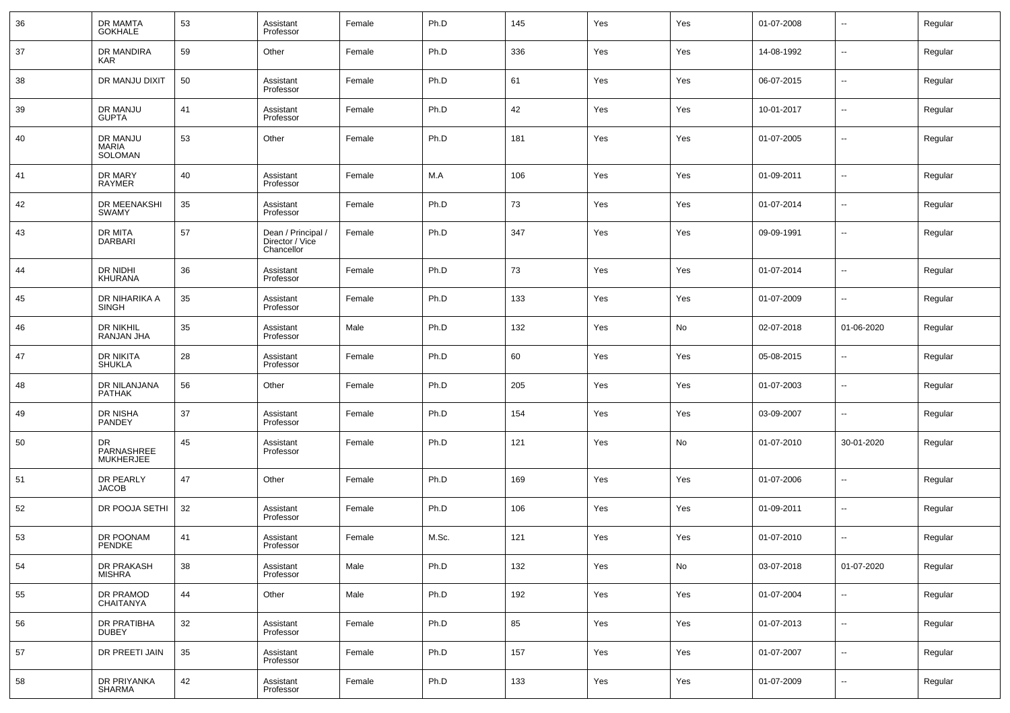| 36 | DR MAMTA<br>GOKHALE                  | 53 | Assistant<br>Professor                              | Female | Ph.D  | 145 | Yes | Yes | 01-07-2008 | $\sim$         | Regular |
|----|--------------------------------------|----|-----------------------------------------------------|--------|-------|-----|-----|-----|------------|----------------|---------|
| 37 | DR MANDIRA<br>KAR                    | 59 | Other                                               | Female | Ph.D  | 336 | Yes | Yes | 14-08-1992 | --             | Regular |
| 38 | DR MANJU DIXIT                       | 50 | Assistant<br>Professor                              | Female | Ph.D  | 61  | Yes | Yes | 06-07-2015 | $\sim$         | Regular |
| 39 | DR MANJU<br><b>GUPTA</b>             | 41 | Assistant<br>Professor                              | Female | Ph.D  | 42  | Yes | Yes | 10-01-2017 | --             | Regular |
| 40 | DR MANJU<br>MARIA<br>SOLOMAN         | 53 | Other                                               | Female | Ph.D  | 181 | Yes | Yes | 01-07-2005 | $\sim$         | Regular |
| 41 | DR MARY<br><b>RAYMER</b>             | 40 | Assistant<br>Professor                              | Female | M.A   | 106 | Yes | Yes | 01-09-2011 | --             | Regular |
| 42 | DR MEENAKSHI<br><b>SWAMY</b>         | 35 | Assistant<br>Professor                              | Female | Ph.D  | 73  | Yes | Yes | 01-07-2014 | --             | Regular |
| 43 | DR MITA<br>DARBARI                   | 57 | Dean / Principal /<br>Director / Vice<br>Chancellor | Female | Ph.D  | 347 | Yes | Yes | 09-09-1991 | --             | Regular |
| 44 | DR NIDHI<br><b>KHURANA</b>           | 36 | Assistant<br>Professor                              | Female | Ph.D  | 73  | Yes | Yes | 01-07-2014 | --             | Regular |
| 45 | DR NIHARIKA A<br><b>SINGH</b>        | 35 | Assistant<br>Professor                              | Female | Ph.D  | 133 | Yes | Yes | 01-07-2009 | --             | Regular |
| 46 | DR NIKHIL<br>RANJAN JHA              | 35 | Assistant<br>Professor                              | Male   | Ph.D  | 132 | Yes | No  | 02-07-2018 | 01-06-2020     | Regular |
| 47 | DR NIKITA<br><b>SHUKLA</b>           | 28 | Assistant<br>Professor                              | Female | Ph.D  | 60  | Yes | Yes | 05-08-2015 | $\overline{a}$ | Regular |
| 48 | DR NILANJANA<br><b>PATHAK</b>        | 56 | Other                                               | Female | Ph.D  | 205 | Yes | Yes | 01-07-2003 | --             | Regular |
| 49 | DR NISHA<br>PANDEY                   | 37 | Assistant<br>Professor                              | Female | Ph.D  | 154 | Yes | Yes | 03-09-2007 | --             | Regular |
| 50 | DR<br>PARNASHREE<br><b>MUKHERJEE</b> | 45 | Assistant<br>Professor                              | Female | Ph.D  | 121 | Yes | No  | 01-07-2010 | 30-01-2020     | Regular |
| 51 | DR PEARLY<br><b>JACOB</b>            | 47 | Other                                               | Female | Ph.D  | 169 | Yes | Yes | 01-07-2006 | --             | Regular |
| 52 | DR POOJA SETHI                       | 32 | Assistant<br>Professor                              | Female | Ph.D  | 106 | Yes | Yes | 01-09-2011 | --             | Regular |
| 53 | DR POONAM<br>PENDKE                  | 41 | Assistant<br>Professor                              | Female | M.Sc. | 121 | Yes | Yes | 01-07-2010 | --             | Regular |
| 54 | DR PRAKASH<br><b>MISHRA</b>          | 38 | Assistant<br>Professor                              | Male   | Ph.D  | 132 | Yes | No  | 03-07-2018 | 01-07-2020     | Regular |
| 55 | DR PRAMOD<br>CHAITANYA               | 44 | Other                                               | Male   | Ph.D  | 192 | Yes | Yes | 01-07-2004 | --             | Regular |
| 56 | DR PRATIBHA<br><b>DUBEY</b>          | 32 | Assistant<br>Professor                              | Female | Ph.D  | 85  | Yes | Yes | 01-07-2013 | --             | Regular |
| 57 | DR PREETI JAIN                       | 35 | Assistant<br>Professor                              | Female | Ph.D  | 157 | Yes | Yes | 01-07-2007 | --             | Regular |
| 58 | DR PRIYANKA<br>SHARMA                | 42 | Assistant<br>Professor                              | Female | Ph.D  | 133 | Yes | Yes | 01-07-2009 | --             | Regular |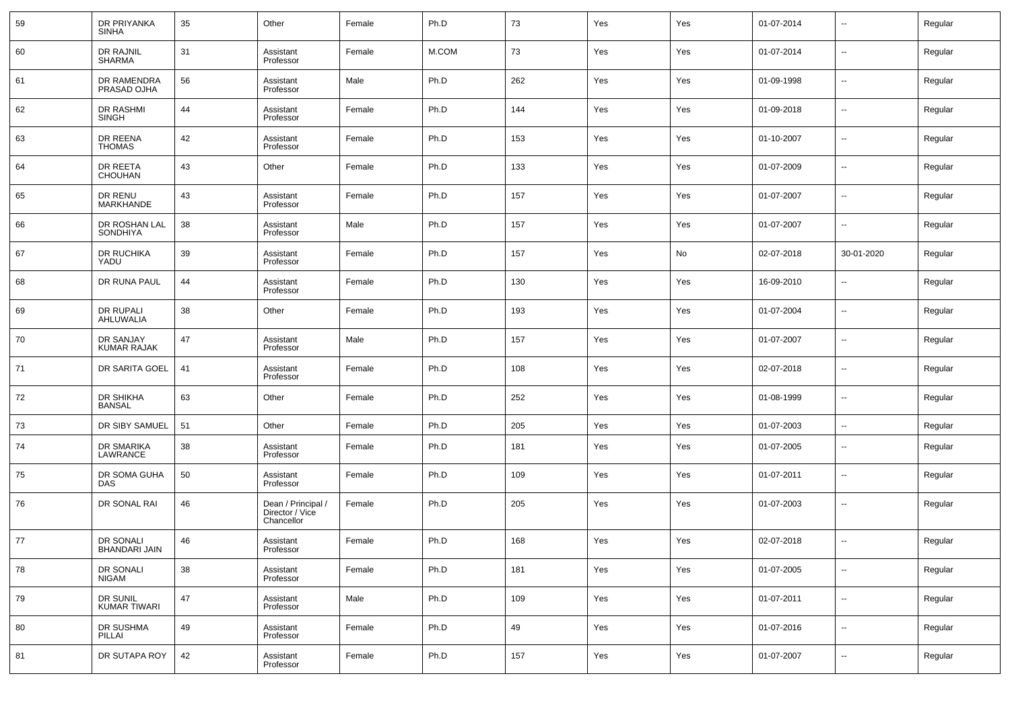| 59 | DR PRIYANKA<br><b>SINHA</b>       | 35 | Other                                               | Female | Ph.D  | 73  | Yes | Yes | 01-07-2014 | $\overline{\phantom{a}}$ | Regular |
|----|-----------------------------------|----|-----------------------------------------------------|--------|-------|-----|-----|-----|------------|--------------------------|---------|
| 60 | DR RAJNIL<br><b>SHARMA</b>        | 31 | Assistant<br>Professor                              | Female | M.COM | 73  | Yes | Yes | 01-07-2014 | $\overline{\phantom{a}}$ | Regular |
| 61 | DR RAMENDRA<br>PRASAD OJHA        | 56 | Assistant<br>Professor                              | Male   | Ph.D  | 262 | Yes | Yes | 01-09-1998 | $\sim$                   | Regular |
| 62 | DR RASHMI<br><b>SINGH</b>         | 44 | Assistant<br>Professor                              | Female | Ph.D  | 144 | Yes | Yes | 01-09-2018 | $\overline{\phantom{a}}$ | Regular |
| 63 | DR REENA<br><b>THOMAS</b>         | 42 | Assistant<br>Professor                              | Female | Ph.D  | 153 | Yes | Yes | 01-10-2007 | $\overline{\phantom{a}}$ | Regular |
| 64 | DR REETA<br>CHOUHAN               | 43 | Other                                               | Female | Ph.D  | 133 | Yes | Yes | 01-07-2009 | $\overline{\phantom{a}}$ | Regular |
| 65 | DR RENU<br><b>MARKHANDE</b>       | 43 | Assistant<br>Professor                              | Female | Ph.D  | 157 | Yes | Yes | 01-07-2007 | $\overline{\phantom{a}}$ | Regular |
| 66 | DR ROSHAN LAL<br><b>SONDHIYA</b>  | 38 | Assistant<br>Professor                              | Male   | Ph.D  | 157 | Yes | Yes | 01-07-2007 | ⊶.                       | Regular |
| 67 | DR RUCHIKA<br>YADU                | 39 | Assistant<br>Professor                              | Female | Ph.D  | 157 | Yes | No  | 02-07-2018 | 30-01-2020               | Regular |
| 68 | DR RUNA PAUL                      | 44 | Assistant<br>Professor                              | Female | Ph.D  | 130 | Yes | Yes | 16-09-2010 | $\overline{\phantom{a}}$ | Regular |
| 69 | DR RUPALI<br>AHLUWALIA            | 38 | Other                                               | Female | Ph.D  | 193 | Yes | Yes | 01-07-2004 | $\overline{\phantom{a}}$ | Regular |
| 70 | DR SANJAY<br>KUMAR RAJAK          | 47 | Assistant<br>Professor                              | Male   | Ph.D  | 157 | Yes | Yes | 01-07-2007 | $\overline{\phantom{a}}$ | Regular |
| 71 | DR SARITA GOEL                    | 41 | Assistant<br>Professor                              | Female | Ph.D  | 108 | Yes | Yes | 02-07-2018 | $\overline{\phantom{a}}$ | Regular |
| 72 | DR SHIKHA<br><b>BANSAL</b>        | 63 | Other                                               | Female | Ph.D  | 252 | Yes | Yes | 01-08-1999 | $\overline{\phantom{a}}$ | Regular |
| 73 | DR SIBY SAMUEL                    | 51 | Other                                               | Female | Ph.D  | 205 | Yes | Yes | 01-07-2003 | $\overline{\phantom{a}}$ | Regular |
| 74 | DR SMARIKA<br>LAWRANCE            | 38 | Assistant<br>Professor                              | Female | Ph.D  | 181 | Yes | Yes | 01-07-2005 | $\overline{\phantom{a}}$ | Regular |
| 75 | DR SOMA GUHA<br>DAS               | 50 | Assistant<br>Professor                              | Female | Ph.D  | 109 | Yes | Yes | 01-07-2011 | $\overline{\phantom{a}}$ | Regular |
| 76 | DR SONAL RAI                      | 46 | Dean / Principal /<br>Director / Vice<br>Chancellor | Female | Ph.D  | 205 | Yes | Yes | 01-07-2003 | $\overline{\phantom{a}}$ | Regular |
| 77 | <b>DR SONALI</b><br>BHANDARI JAIN | 46 | Assistant<br>Professor                              | Female | Ph.D  | 168 | Yes | Yes | 02-07-2018 | $\overline{\phantom{a}}$ | Regular |
| 78 | DR SONALI<br><b>NIGAM</b>         | 38 | Assistant<br>Professor                              | Female | Ph.D  | 181 | Yes | Yes | 01-07-2005 | $\overline{\phantom{a}}$ | Regular |
| 79 | DR SUNIL<br>KUMAR TIWARI          | 47 | Assistant<br>Professor                              | Male   | Ph.D  | 109 | Yes | Yes | 01-07-2011 | $\sim$                   | Regular |
| 80 | DR SUSHMA<br>PILLAI               | 49 | Assistant<br>Professor                              | Female | Ph.D  | 49  | Yes | Yes | 01-07-2016 | $\sim$                   | Regular |
| 81 | DR SUTAPA ROY                     | 42 | Assistant<br>Professor                              | Female | Ph.D  | 157 | Yes | Yes | 01-07-2007 | $\overline{\phantom{a}}$ | Regular |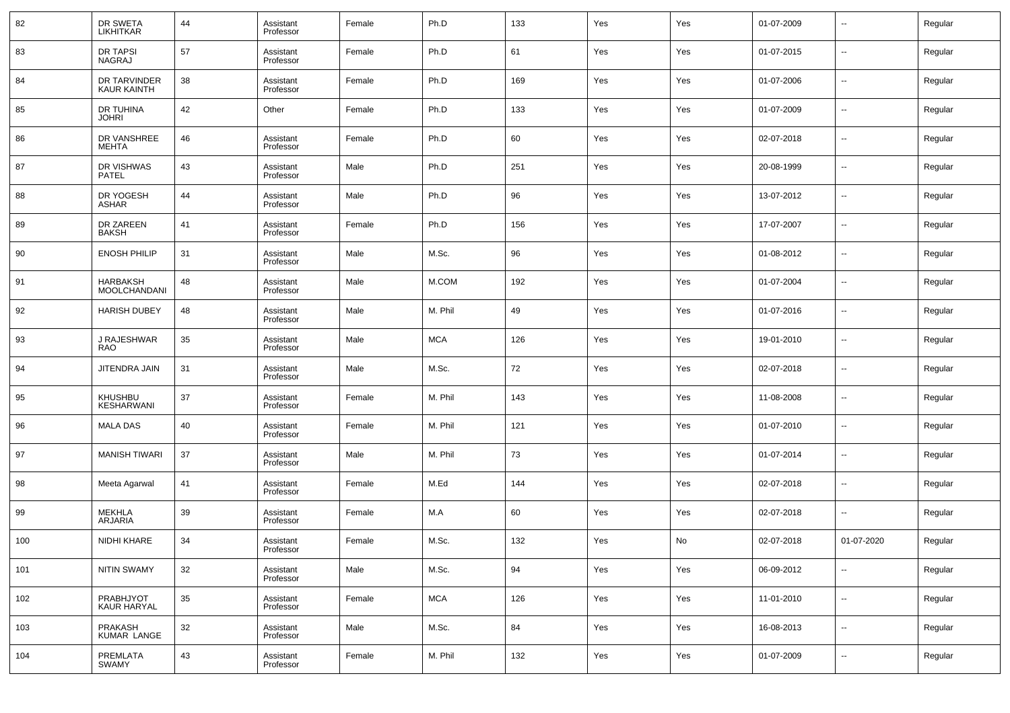| 82  | DR SWETA<br>LIKHITKAR                  | 44 | Assistant<br>Professor | Female | Ph.D       | 133 | Yes | Yes | 01-07-2009 | $\overline{\phantom{a}}$ | Regular |
|-----|----------------------------------------|----|------------------------|--------|------------|-----|-----|-----|------------|--------------------------|---------|
| 83  | DR TAPSI<br>NAGRAJ                     | 57 | Assistant<br>Professor | Female | Ph.D       | 61  | Yes | Yes | 01-07-2015 | $\overline{\phantom{a}}$ | Regular |
| 84  | DR TARVINDER<br><b>KAUR KAINTH</b>     | 38 | Assistant<br>Professor | Female | Ph.D       | 169 | Yes | Yes | 01-07-2006 | $\overline{\phantom{a}}$ | Regular |
| 85  | DR TUHINA<br><b>JOHRI</b>              | 42 | Other                  | Female | Ph.D       | 133 | Yes | Yes | 01-07-2009 | $\overline{\phantom{a}}$ | Regular |
| 86  | DR VANSHREE<br><b>MEHTA</b>            | 46 | Assistant<br>Professor | Female | Ph.D       | 60  | Yes | Yes | 02-07-2018 | $\overline{\phantom{a}}$ | Regular |
| 87  | DR VISHWAS<br>PATEL                    | 43 | Assistant<br>Professor | Male   | Ph.D       | 251 | Yes | Yes | 20-08-1999 | $\overline{\phantom{a}}$ | Regular |
| 88  | DR YOGESH<br><b>ASHAR</b>              | 44 | Assistant<br>Professor | Male   | Ph.D       | 96  | Yes | Yes | 13-07-2012 | $\overline{\phantom{a}}$ | Regular |
| 89  | DR ZAREEN<br><b>BAKSH</b>              | 41 | Assistant<br>Professor | Female | Ph.D       | 156 | Yes | Yes | 17-07-2007 | $\overline{\phantom{a}}$ | Regular |
| 90  | <b>ENOSH PHILIP</b>                    | 31 | Assistant<br>Professor | Male   | M.Sc.      | 96  | Yes | Yes | 01-08-2012 | $\overline{\phantom{a}}$ | Regular |
| 91  | <b>HARBAKSH</b><br><b>MOOLCHANDANI</b> | 48 | Assistant<br>Professor | Male   | M.COM      | 192 | Yes | Yes | 01-07-2004 | $\overline{\phantom{a}}$ | Regular |
| 92  | <b>HARISH DUBEY</b>                    | 48 | Assistant<br>Professor | Male   | M. Phil    | 49  | Yes | Yes | 01-07-2016 | $\overline{\phantom{a}}$ | Regular |
| 93  | J RAJESHWAR<br>RAO                     | 35 | Assistant<br>Professor | Male   | <b>MCA</b> | 126 | Yes | Yes | 19-01-2010 | $\overline{\phantom{a}}$ | Regular |
| 94  | JITENDRA JAIN                          | 31 | Assistant<br>Professor | Male   | M.Sc.      | 72  | Yes | Yes | 02-07-2018 | $\overline{\phantom{a}}$ | Regular |
| 95  | KHUSHBU<br>KESHARWANI                  | 37 | Assistant<br>Professor | Female | M. Phil    | 143 | Yes | Yes | 11-08-2008 | $\overline{\phantom{a}}$ | Regular |
| 96  | <b>MALA DAS</b>                        | 40 | Assistant<br>Professor | Female | M. Phil    | 121 | Yes | Yes | 01-07-2010 | $\overline{\phantom{a}}$ | Regular |
| 97  | <b>MANISH TIWARI</b>                   | 37 | Assistant<br>Professor | Male   | M. Phil    | 73  | Yes | Yes | 01-07-2014 | $\overline{\phantom{a}}$ | Regular |
| 98  | Meeta Agarwal                          | 41 | Assistant<br>Professor | Female | M.Ed       | 144 | Yes | Yes | 02-07-2018 | $\overline{\phantom{a}}$ | Regular |
| 99  | <b>MEKHLA</b><br><b>ARJARIA</b>        | 39 | Assistant<br>Professor | Female | M.A        | 60  | Yes | Yes | 02-07-2018 | $\overline{\phantom{a}}$ | Regular |
| 100 | NIDHI KHARE                            | 34 | Assistant<br>Professor | Female | M.Sc.      | 132 | Yes | No  | 02-07-2018 | 01-07-2020               | Regular |
| 101 | <b>NITIN SWAMY</b>                     | 32 | Assistant<br>Professor | Male   | M.Sc.      | 94  | Yes | Yes | 06-09-2012 | $\overline{\phantom{a}}$ | Regular |
| 102 | PRABHJYOT<br>KAUR HARYAL               | 35 | Assistant<br>Professor | Female | <b>MCA</b> | 126 | Yes | Yes | 11-01-2010 | $\overline{\phantom{a}}$ | Regular |
| 103 | PRAKASH<br>KUMAR LANGE                 | 32 | Assistant<br>Professor | Male   | M.Sc.      | 84  | Yes | Yes | 16-08-2013 | ۰.                       | Regular |
| 104 | PREMLATA<br><b>SWAMY</b>               | 43 | Assistant<br>Professor | Female | M. Phil    | 132 | Yes | Yes | 01-07-2009 | $\overline{\phantom{a}}$ | Regular |